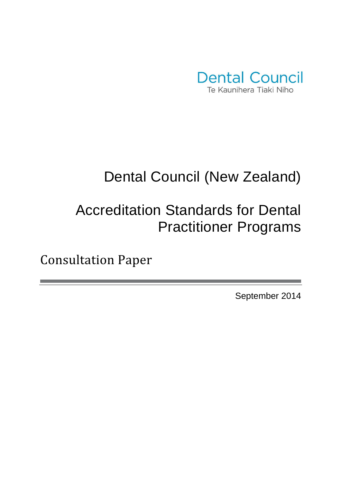

# Dental Council (New Zealand)

# Accreditation Standards for Dental Practitioner Programs

Consultation Paper

September 2014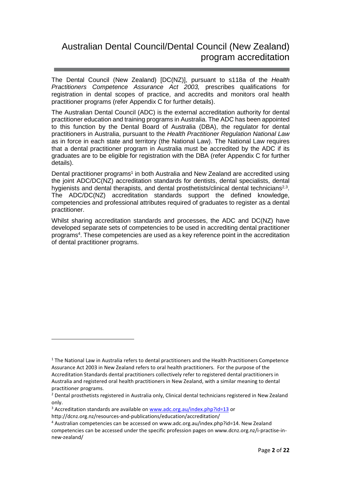## Australian Dental Council/Dental Council (New Zealand) program accreditation

The Dental Council (New Zealand) [DC(NZ)], pursuant to s118a of the Health Practitioners Competence Assurance Act 2003, prescribes qualifications for registration in dental scopes of practice, and accredits and monitors oral health practitioner programs (refer Appendix C for further details).

The Australian Dental Council (ADC) is the external accreditation authority for dental practitioner education and training programs in Australia. The ADC has been appointed to this function by the Dental Board of Australia (DBA), the regulator for dental practitioners in Australia, pursuant to the Health Practitioner Regulation National Law as in force in each state and territory (the National Law). The National Law requires that a dental practitioner program in Australia must be accredited by the ADC if its graduates are to be eligible for registration with the DBA (refer Appendix C for further details).

Dental practitioner programs<sup>1</sup> in both Australia and New Zealand are accredited using the joint ADC/DC(NZ) accreditation standards for dentists, dental specialists, dental hygienists and dental therapists, and dental prosthetists/clinical dental technicians<sup>2,3</sup>. The ADC/DC(NZ) accreditation standards support the defined knowledge, competencies and professional attributes required of graduates to register as a dental practitioner.

Whilst sharing accreditation standards and processes, the ADC and DC(NZ) have developed separate sets of competencies to be used in accrediting dental practitioner programs<sup>4</sup>. These competencies are used as a key reference point in the accreditation of dental practitioner programs.

http://dcnz.org.nz/resources-and-publications/education/accreditation/

 $\overline{\phantom{a}}$ 

<sup>&</sup>lt;sup>1</sup> The National Law in Australia refers to dental practitioners and the Health Practitioners Competence Assurance Act 2003 in New Zealand refers to oral health practitioners. For the purpose of the Accreditation Standards dental practitioners collectively refer to registered dental practitioners in Australia and registered oral health practitioners in New Zealand, with a similar meaning to dental practitioner programs.

<sup>&</sup>lt;sup>2</sup> Dental prosthetists registered in Australia only, Clinical dental technicians registered in New Zealand only.

<sup>&</sup>lt;sup>3</sup> Accreditation standards are available on www.adc.org.au/index.php?id=13 or

<sup>&</sup>lt;sup>4</sup> Australian competencies can be accessed on www.adc.org.au/index.php?id=14. New Zealand competencies can be accessed under the specific profession pages on www.dcnz.org.nz/i-practise-innew-zealand/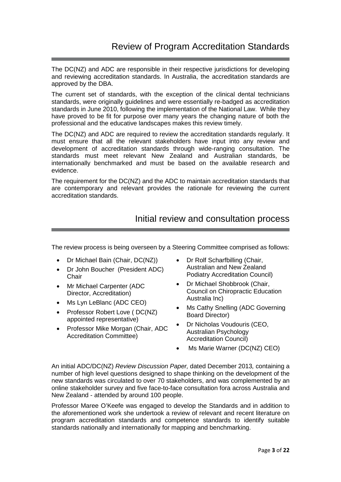The DC(NZ) and ADC are responsible in their respective jurisdictions for developing and reviewing accreditation standards. In Australia, the accreditation standards are approved by the DBA.

The current set of standards, with the exception of the clinical dental technicians standards, were originally guidelines and were essentially re-badged as accreditation standards in June 2010, following the implementation of the National Law. While they have proved to be fit for purpose over many years the changing nature of both the professional and the educative landscapes makes this review timely.

The DC(NZ) and ADC are required to review the accreditation standards regularly. It must ensure that all the relevant stakeholders have input into any review and development of accreditation standards through wide-ranging consultation. The standards must meet relevant New Zealand and Australian standards, be internationally benchmarked and must be based on the available research and evidence.

The requirement for the DC(NZ) and the ADC to maintain accreditation standards that are contemporary and relevant provides the rationale for reviewing the current accreditation standards.

## Initial review and consultation process

The review process is being overseen by a Steering Committee comprised as follows:

- Dr Michael Bain (Chair, DC(NZ))
- Dr John Boucher (President ADC) **Chair**
- Mr Michael Carpenter (ADC Director, Accreditation)
- Ms Lyn LeBlanc (ADC CEO)
- Professor Robert Love ( DC(NZ) appointed representative)
- Professor Mike Morgan (Chair, ADC Accreditation Committee)
- Dr Rolf Scharfbilling (Chair, Australian and New Zealand Podiatry Accreditation Council)
- Dr Michael Shobbrook (Chair, Council on Chiropractic Education Australia Inc)
- Ms Cathy Snelling (ADC Governing Board Director)
- Dr Nicholas Voudouris (CEO, Australian Psychology Accreditation Council)
- Ms Marie Warner (DC(NZ) CEO)

An initial ADC/DC(NZ) Review Discussion Paper, dated December 2013, containing a number of high level questions designed to shape thinking on the development of the new standards was circulated to over 70 stakeholders, and was complemented by an online stakeholder survey and five face-to-face consultation fora across Australia and New Zealand - attended by around 100 people.

Professor Maree O'Keefe was engaged to develop the Standards and in addition to the aforementioned work she undertook a review of relevant and recent literature on program accreditation standards and competence standards to identify suitable standards nationally and internationally for mapping and benchmarking.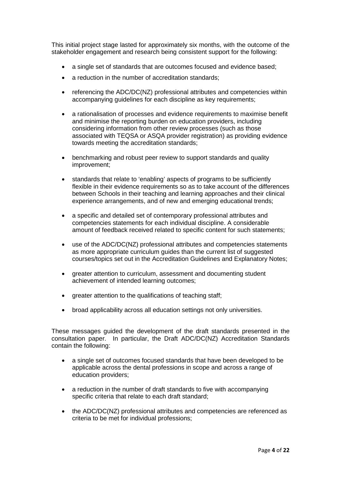This initial project stage lasted for approximately six months, with the outcome of the stakeholder engagement and research being consistent support for the following:

- a single set of standards that are outcomes focused and evidence based;
- a reduction in the number of accreditation standards;
- referencing the ADC/DC(NZ) professional attributes and competencies within accompanying guidelines for each discipline as key requirements;
- a rationalisation of processes and evidence requirements to maximise benefit and minimise the reporting burden on education providers, including considering information from other review processes (such as those associated with TEQSA or ASQA provider registration) as providing evidence towards meeting the accreditation standards;
- benchmarking and robust peer review to support standards and quality improvement;
- standards that relate to 'enabling' aspects of programs to be sufficiently flexible in their evidence requirements so as to take account of the differences between Schools in their teaching and learning approaches and their clinical experience arrangements, and of new and emerging educational trends;
- a specific and detailed set of contemporary professional attributes and competencies statements for each individual discipline. A considerable amount of feedback received related to specific content for such statements;
- use of the ADC/DC(NZ) professional attributes and competencies statements as more appropriate curriculum guides than the current list of suggested courses/topics set out in the Accreditation Guidelines and Explanatory Notes;
- greater attention to curriculum, assessment and documenting student achievement of intended learning outcomes;
- greater attention to the qualifications of teaching staff:
- broad applicability across all education settings not only universities.

These messages guided the development of the draft standards presented in the consultation paper. In particular, the Draft ADC/DC(NZ) Accreditation Standards contain the following:

- a single set of outcomes focused standards that have been developed to be applicable across the dental professions in scope and across a range of education providers;
- a reduction in the number of draft standards to five with accompanying specific criteria that relate to each draft standard;
- the ADC/DC(NZ) professional attributes and competencies are referenced as criteria to be met for individual professions;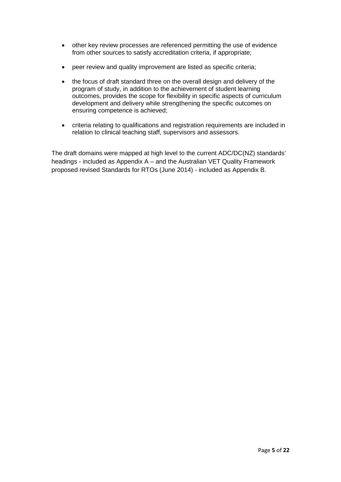- other key review processes are referenced permitting the use of evidence from other sources to satisfy accreditation criteria, if appropriate;
- peer review and quality improvement are listed as specific criteria;
- the focus of draft standard three on the overall design and delivery of the program of study, in addition to the achievement of student learning outcomes, provides the scope for flexibility in specific aspects of curriculum development and delivery while strengthening the specific outcomes on ensuring competence is achieved;
- criteria relating to qualifications and registration requirements are included in relation to clinical teaching staff, supervisors and assessors.

The draft domains were mapped at high level to the current ADC/DC(NZ) standards' headings - included as Appendix A – and the Australian VET Quality Framework proposed revised Standards for RTOs (June 2014) - included as Appendix B.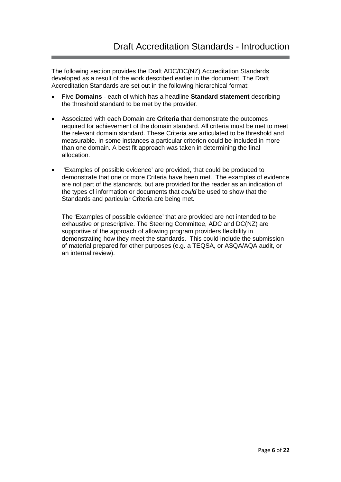The following section provides the Draft ADC/DC(NZ) Accreditation Standards developed as a result of the work described earlier in the document. The Draft Accreditation Standards are set out in the following hierarchical format:

- Five **Domains**  each of which has a headline **Standard statement** describing the threshold standard to be met by the provider.
- Associated with each Domain are **Criteria** that demonstrate the outcomes required for achievement of the domain standard. All criteria must be met to meet the relevant domain standard. These Criteria are articulated to be threshold and measurable. In some instances a particular criterion could be included in more than one domain. A best fit approach was taken in determining the final allocation.
- 'Examples of possible evidence' are provided, that could be produced to demonstrate that one or more Criteria have been met. The examples of evidence are not part of the standards, but are provided for the reader as an indication of the types of information or documents that could be used to show that the Standards and particular Criteria are being met.

The 'Examples of possible evidence' that are provided are not intended to be exhaustive or prescriptive. The Steering Committee, ADC and DC(NZ) are supportive of the approach of allowing program providers flexibility in demonstrating how they meet the standards. This could include the submission of material prepared for other purposes (e.g. a TEQSA, or ASQA/AQA audit, or an internal review).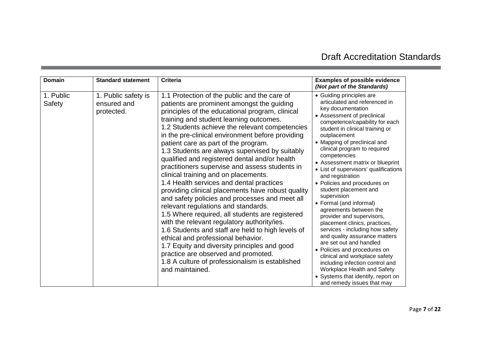## Draft Accreditation Standards

| Domain              | <b>Standard statement</b>                        | <b>Criteria</b>                                                                                                                                                                                                                                                                                                                                                                                                                                                                                                                                                                                                                                                                                                                                                                                                                                                                                                                                                                                                                                                                         | <b>Examples of possible evidence</b><br>(Not part of the Standards)                                                                                                                                                                                                                                                                                                                                                                                                                                                                                                                                                                                                                                                                                                                                                                                                                  |
|---------------------|--------------------------------------------------|-----------------------------------------------------------------------------------------------------------------------------------------------------------------------------------------------------------------------------------------------------------------------------------------------------------------------------------------------------------------------------------------------------------------------------------------------------------------------------------------------------------------------------------------------------------------------------------------------------------------------------------------------------------------------------------------------------------------------------------------------------------------------------------------------------------------------------------------------------------------------------------------------------------------------------------------------------------------------------------------------------------------------------------------------------------------------------------------|--------------------------------------------------------------------------------------------------------------------------------------------------------------------------------------------------------------------------------------------------------------------------------------------------------------------------------------------------------------------------------------------------------------------------------------------------------------------------------------------------------------------------------------------------------------------------------------------------------------------------------------------------------------------------------------------------------------------------------------------------------------------------------------------------------------------------------------------------------------------------------------|
| 1. Public<br>Safety | 1. Public safety is<br>ensured and<br>protected. | 1.1 Protection of the public and the care of<br>patients are prominent amongst the guiding<br>principles of the educational program, clinical<br>training and student learning outcomes.<br>1.2 Students achieve the relevant competencies<br>in the pre-clinical environment before providing<br>patient care as part of the program.<br>1.3 Students are always supervised by suitably<br>qualified and registered dental and/or health<br>practitioners supervise and assess students in<br>clinical training and on placements.<br>1.4 Health services and dental practices<br>providing clinical placements have robust quality<br>and safety policies and processes and meet all<br>relevant regulations and standards.<br>1.5 Where required, all students are registered<br>with the relevant regulatory authority/ies.<br>1.6 Students and staff are held to high levels of<br>ethical and professional behavior.<br>1.7 Equity and diversity principles and good<br>practice are observed and promoted.<br>1.8 A culture of professionalism is established<br>and maintained. | • Guiding principles are<br>articulated and referenced in<br>key documentation<br>• Assessment of preclinical<br>competence/capability for each<br>student in clinical training or<br>outplacement<br>• Mapping of preclinical and<br>clinical program to required<br>competencies<br>• Assessment matrix or blueprint<br>• List of supervisors' qualifications<br>and registration<br>• Policies and procedures on<br>student placement and<br>supervision<br>• Formal (and informal)<br>agreements between the<br>provider and supervisors,<br>placement clinics, practices,<br>services - including how safety<br>and quality assurance matters<br>are set out and handled<br>• Policies and procedures on<br>clinical and workplace safety<br>including infection control and<br>Workplace Health and Safety<br>• Systems that identify, report on<br>and remedy issues that may |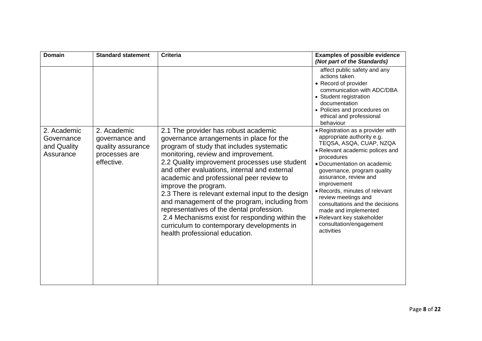| <b>Domain</b>                                         | <b>Standard statement</b>                                                         | <b>Criteria</b>                                                                                                                                                                                                                                                                                                                                                                                                                                                                                                                                                                                                                 | <b>Examples of possible evidence</b><br>(Not part of the Standards)                                                                                                                                                                                                                                                                                                                                                                          |
|-------------------------------------------------------|-----------------------------------------------------------------------------------|---------------------------------------------------------------------------------------------------------------------------------------------------------------------------------------------------------------------------------------------------------------------------------------------------------------------------------------------------------------------------------------------------------------------------------------------------------------------------------------------------------------------------------------------------------------------------------------------------------------------------------|----------------------------------------------------------------------------------------------------------------------------------------------------------------------------------------------------------------------------------------------------------------------------------------------------------------------------------------------------------------------------------------------------------------------------------------------|
|                                                       |                                                                                   |                                                                                                                                                                                                                                                                                                                                                                                                                                                                                                                                                                                                                                 | affect public safety and any<br>actions taken.<br>• Record of provider<br>communication with ADC/DBA<br>• Student registration<br>documentation<br>• Policies and procedures on<br>ethical and professional<br>behaviour                                                                                                                                                                                                                     |
| 2. Academic<br>Governance<br>and Quality<br>Assurance | 2. Academic<br>governance and<br>quality assurance<br>processes are<br>effective. | 2.1 The provider has robust academic<br>governance arrangements in place for the<br>program of study that includes systematic<br>monitoring, review and improvement.<br>2.2 Quality improvement processes use student<br>and other evaluations, internal and external<br>academic and professional peer review to<br>improve the program.<br>2.3 There is relevant external input to the design<br>and management of the program, including from<br>representatives of the dental profession.<br>2.4 Mechanisms exist for responding within the<br>curriculum to contemporary developments in<br>health professional education. | • Registration as a provider with<br>appropriate authority e.g.<br>TEQSA, ASQA, CUAP, NZQA<br>• Relevant academic polices and<br>procedures<br>• Documentation on academic<br>governance, program quality<br>assurance, review and<br>improvement<br>• Records, minutes of relevant<br>review meetings and<br>consultations and the decisions<br>made and implemented<br>• Relevant key stakeholder<br>consultation/engagement<br>activities |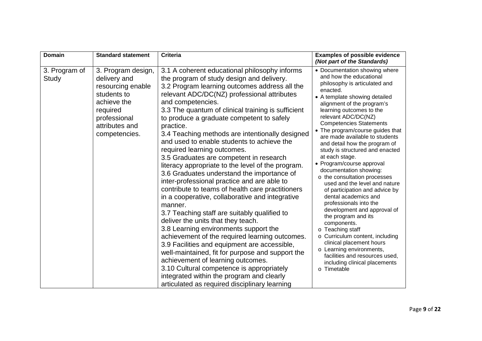| <b>Domain</b>          | <b>Standard statement</b>                                                                                                                            | <b>Criteria</b>                                                                                                                                                                                                                                                                                                                                                                                                                                                                                                                                                                                                                                                                                                                                                                                                                                                                                                                                                                                                                                                                                                                                                                                                                                     | <b>Examples of possible evidence</b>                                                                                                                                                                                                                                                                                                                                                                                                                                                                                                                                                                                                                                                                                                                                                                                                                                                                    |
|------------------------|------------------------------------------------------------------------------------------------------------------------------------------------------|-----------------------------------------------------------------------------------------------------------------------------------------------------------------------------------------------------------------------------------------------------------------------------------------------------------------------------------------------------------------------------------------------------------------------------------------------------------------------------------------------------------------------------------------------------------------------------------------------------------------------------------------------------------------------------------------------------------------------------------------------------------------------------------------------------------------------------------------------------------------------------------------------------------------------------------------------------------------------------------------------------------------------------------------------------------------------------------------------------------------------------------------------------------------------------------------------------------------------------------------------------|---------------------------------------------------------------------------------------------------------------------------------------------------------------------------------------------------------------------------------------------------------------------------------------------------------------------------------------------------------------------------------------------------------------------------------------------------------------------------------------------------------------------------------------------------------------------------------------------------------------------------------------------------------------------------------------------------------------------------------------------------------------------------------------------------------------------------------------------------------------------------------------------------------|
|                        |                                                                                                                                                      |                                                                                                                                                                                                                                                                                                                                                                                                                                                                                                                                                                                                                                                                                                                                                                                                                                                                                                                                                                                                                                                                                                                                                                                                                                                     | (Not part of the Standards)                                                                                                                                                                                                                                                                                                                                                                                                                                                                                                                                                                                                                                                                                                                                                                                                                                                                             |
| 3. Program of<br>Study | 3. Program design,<br>delivery and<br>resourcing enable<br>students to<br>achieve the<br>required<br>professional<br>attributes and<br>competencies. | 3.1 A coherent educational philosophy informs<br>the program of study design and delivery.<br>3.2 Program learning outcomes address all the<br>relevant ADC/DC(NZ) professional attributes<br>and competencies.<br>3.3 The quantum of clinical training is sufficient<br>to produce a graduate competent to safely<br>practice.<br>3.4 Teaching methods are intentionally designed<br>and used to enable students to achieve the<br>required learning outcomes.<br>3.5 Graduates are competent in research<br>literacy appropriate to the level of the program.<br>3.6 Graduates understand the importance of<br>inter-professional practice and are able to<br>contribute to teams of health care practitioners<br>in a cooperative, collaborative and integrative<br>manner.<br>3.7 Teaching staff are suitably qualified to<br>deliver the units that they teach.<br>3.8 Learning environments support the<br>achievement of the required learning outcomes.<br>3.9 Facilities and equipment are accessible,<br>well-maintained, fit for purpose and support the<br>achievement of learning outcomes.<br>3.10 Cultural competence is appropriately<br>integrated within the program and clearly<br>articulated as required disciplinary learning | • Documentation showing where<br>and how the educational<br>philosophy is articulated and<br>enacted.<br>• A template showing detailed<br>alignment of the program's<br>learning outcomes to the<br>relevant ADC/DC(NZ)<br><b>Competencies Statements</b><br>• The program/course guides that<br>are made available to students<br>and detail how the program of<br>study is structured and enacted<br>at each stage.<br>• Program/course approval<br>documentation showing:<br>o the consultation processes<br>used and the level and nature<br>of participation and advice by<br>dental academics and<br>professionals into the<br>development and approval of<br>the program and its<br>components.<br>o Teaching staff<br>o Curriculum content, including<br>clinical placement hours<br>o Learning environments,<br>facilities and resources used,<br>including clinical placements<br>o Timetable |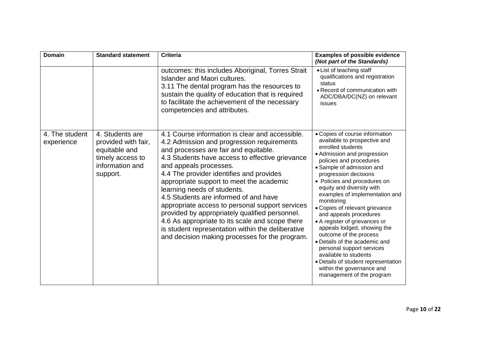| <b>Domain</b>                | <b>Standard statement</b>                                                                                  | <b>Criteria</b>                                                                                                                                                                                                                                                                                                                                                                                                                                                                                                                                                                                                                                    | <b>Examples of possible evidence</b><br>(Not part of the Standards)                                                                                                                                                                                                                                                                                                                                                                                                                                                                                                                                                                                            |
|------------------------------|------------------------------------------------------------------------------------------------------------|----------------------------------------------------------------------------------------------------------------------------------------------------------------------------------------------------------------------------------------------------------------------------------------------------------------------------------------------------------------------------------------------------------------------------------------------------------------------------------------------------------------------------------------------------------------------------------------------------------------------------------------------------|----------------------------------------------------------------------------------------------------------------------------------------------------------------------------------------------------------------------------------------------------------------------------------------------------------------------------------------------------------------------------------------------------------------------------------------------------------------------------------------------------------------------------------------------------------------------------------------------------------------------------------------------------------------|
|                              |                                                                                                            | outcomes: this includes Aboriginal, Torres Strait<br>Islander and Maori cultures.<br>3.11 The dental program has the resources to<br>sustain the quality of education that is required<br>to facilitate the achievement of the necessary<br>competencies and attributes.                                                                                                                                                                                                                                                                                                                                                                           | • List of teaching staff<br>qualifications and registration<br>status<br>• Record of communication with<br>ADC/DBA/DC(NZ) on relevant<br>issues                                                                                                                                                                                                                                                                                                                                                                                                                                                                                                                |
| 4. The student<br>experience | 4. Students are<br>provided with fair,<br>equitable and<br>timely access to<br>information and<br>support. | 4.1 Course information is clear and accessible.<br>4.2 Admission and progression requirements<br>and processes are fair and equitable.<br>4.3 Students have access to effective grievance<br>and appeals processes.<br>4.4 The provider identifies and provides<br>appropriate support to meet the academic<br>learning needs of students.<br>4.5 Students are informed of and have<br>appropriate access to personal support services<br>provided by appropriately qualified personnel.<br>4.6 As appropriate to its scale and scope there<br>is student representation within the deliberative<br>and decision making processes for the program. | • Copies of course information<br>available to prospective and<br>enrolled students<br>• Admission and progression<br>policies and procedures<br>• Sample of admission and<br>progression decisions<br>• Policies and procedures on<br>equity and diversity with<br>examples of implementation and<br>monitoring<br>• Copies of relevant grievance<br>and appeals procedures<br>• A register of grievances or<br>appeals lodged, showing the<br>outcome of the process<br>• Details of the academic and<br>personal support services<br>available to students<br>• Details of student representation<br>within the governance and<br>management of the program |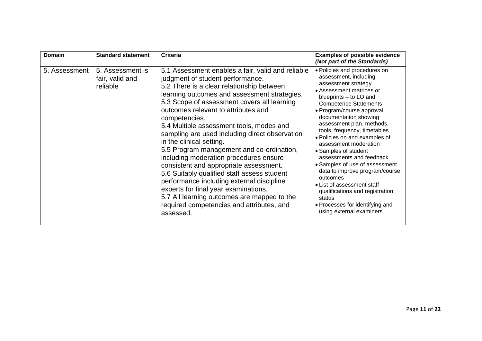| Domain        | <b>Standard statement</b>                       | <b>Criteria</b>                                                                                                                                                                                                                                                                                                                                                                                                                                                                                                                                                                                                                                                                                                                                                                                   | <b>Examples of possible evidence</b><br>(Not part of the Standards)                                                                                                                                                                                                                                                                                                                                                                                                                                                                                                                                                           |
|---------------|-------------------------------------------------|---------------------------------------------------------------------------------------------------------------------------------------------------------------------------------------------------------------------------------------------------------------------------------------------------------------------------------------------------------------------------------------------------------------------------------------------------------------------------------------------------------------------------------------------------------------------------------------------------------------------------------------------------------------------------------------------------------------------------------------------------------------------------------------------------|-------------------------------------------------------------------------------------------------------------------------------------------------------------------------------------------------------------------------------------------------------------------------------------------------------------------------------------------------------------------------------------------------------------------------------------------------------------------------------------------------------------------------------------------------------------------------------------------------------------------------------|
| 5. Assessment | 5. Assessment is<br>fair, valid and<br>reliable | 5.1 Assessment enables a fair, valid and reliable<br>judgment of student performance.<br>5.2 There is a clear relationship between<br>learning outcomes and assessment strategies.<br>5.3 Scope of assessment covers all learning<br>outcomes relevant to attributes and<br>competencies.<br>5.4 Multiple assessment tools, modes and<br>sampling are used including direct observation<br>in the clinical setting.<br>5.5 Program management and co-ordination,<br>including moderation procedures ensure<br>consistent and appropriate assessment.<br>5.6 Suitably qualified staff assess student<br>performance including external discipline<br>experts for final year examinations.<br>5.7 All learning outcomes are mapped to the<br>required competencies and attributes, and<br>assessed. | · Policies and procedures on<br>assessment, including<br>assessment strategy<br>• Assessment matrices or<br>blueprints - to LO and<br><b>Competence Statements</b><br>• Program/course approval<br>documentation showing<br>assessment plan, methods,<br>tools, frequency, timetables<br>· Policies on and examples of<br>assessment moderation<br>• Samples of student<br>assessments and feedback<br>• Samples of use of assessment<br>data to improve program/course<br>outcomes<br>• List of assessment staff<br>qualifications and registration<br>status<br>• Processes for identifying and<br>using external examiners |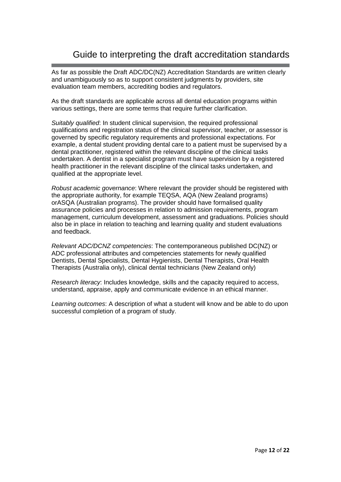## Guide to interpreting the draft accreditation standards

As far as possible the Draft ADC/DC(NZ) Accreditation Standards are written clearly and unambiguously so as to support consistent judgments by providers, site evaluation team members, accrediting bodies and regulators.

As the draft standards are applicable across all dental education programs within various settings, there are some terms that require further clarification.

Suitably qualified: In student clinical supervision, the required professional qualifications and registration status of the clinical supervisor, teacher, or assessor is governed by specific regulatory requirements and professional expectations. For example, a dental student providing dental care to a patient must be supervised by a dental practitioner, registered within the relevant discipline of the clinical tasks undertaken. A dentist in a specialist program must have supervision by a registered health practitioner in the relevant discipline of the clinical tasks undertaken, and qualified at the appropriate level.

Robust academic governance: Where relevant the provider should be registered with the appropriate authority, for example TEQSA, AQA (New Zealand programs) orASQA (Australian programs). The provider should have formalised quality assurance policies and processes in relation to admission requirements, program management, curriculum development, assessment and graduations. Policies should also be in place in relation to teaching and learning quality and student evaluations and feedback.

Relevant ADC/DCNZ competencies: The contemporaneous published DC(NZ) or ADC professional attributes and competencies statements for newly qualified Dentists, Dental Specialists, Dental Hygienists, Dental Therapists, Oral Health Therapists (Australia only), clinical dental technicians (New Zealand only)

Research literacy: Includes knowledge, skills and the capacity required to access, understand, appraise, apply and communicate evidence in an ethical manner.

Learning outcomes: A description of what a student will know and be able to do upon successful completion of a program of study.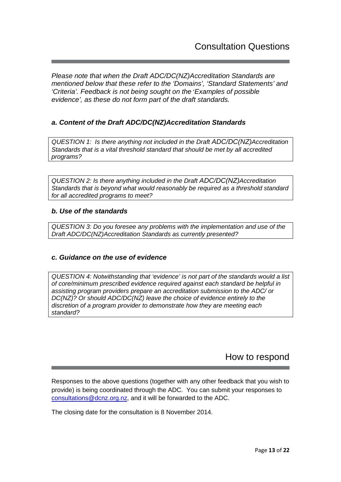Please note that when the Draft ADC/DC(NZ)Accreditation Standards are mentioned below that these refer to the 'Domains', 'Standard Statements' and 'Criteria'. Feedback is not being sought on the 'Examples of possible evidence', as these do not form part of the draft standards.

## **a. Content of the Draft ADC/DC(NZ)Accreditation Standards**

QUESTION 1: Is there anything not included in the Draft ADC/DC(NZ)Accreditation Standards that is a vital threshold standard that should be met by all accredited programs?

QUESTION 2: Is there anything included in the Draft ADC/DC(NZ)Accreditation Standards that is beyond what would reasonably be required as a threshold standard for all accredited programs to meet?

#### **b. Use of the standards**

QUESTION 3: Do you foresee any problems with the implementation and use of the Draft ADC/DC(NZ)Accreditation Standards as currently presented?

## **c. Guidance on the use of evidence**

QUESTION 4: Notwithstanding that 'evidence' is not part of the standards would a list of core/minimum prescribed evidence required against each standard be helpful in assisting program providers prepare an accreditation submission to the ADC/ or DC(NZ)? Or should ADC/DC(NZ) leave the choice of evidence entirely to the discretion of a program provider to demonstrate how they are meeting each standard?

## How to respond

Responses to the above questions (together with any other feedback that you wish to provide) is being coordinated through the ADC. You can submit your responses to consultations@dcnz.org.nz, and it will be forwarded to the ADC.

The closing date for the consultation is 8 November 2014.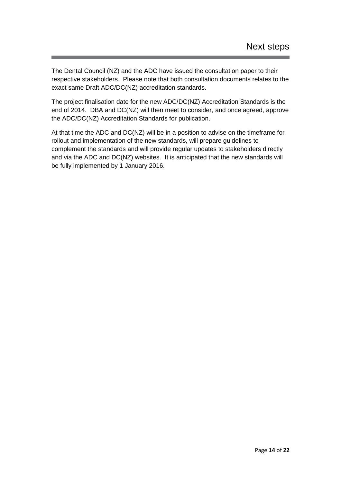The Dental Council (NZ) and the ADC have issued the consultation paper to their respective stakeholders. Please note that both consultation documents relates to the exact same Draft ADC/DC(NZ) accreditation standards.

The project finalisation date for the new ADC/DC(NZ) Accreditation Standards is the end of 2014. DBA and DC(NZ) will then meet to consider, and once agreed, approve the ADC/DC(NZ) Accreditation Standards for publication.

At that time the ADC and DC(NZ) will be in a position to advise on the timeframe for rollout and implementation of the new standards, will prepare guidelines to complement the standards and will provide regular updates to stakeholders directly and via the ADC and DC(NZ) websites. It is anticipated that the new standards will be fully implemented by 1 January 2016.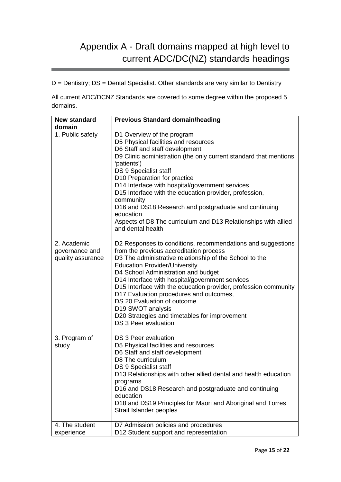## Appendix A - Draft domains mapped at high level to current ADC/DC(NZ) standards headings

D = Dentistry; DS = Dental Specialist. Other standards are very similar to Dentistry

All current ADC/DCNZ Standards are covered to some degree within the proposed 5 domains.

| <b>New standard</b><br>domain                      | <b>Previous Standard domain/heading</b>                                                                                                                                                                                                                                                                                                                                                                                                                                                                                                        |
|----------------------------------------------------|------------------------------------------------------------------------------------------------------------------------------------------------------------------------------------------------------------------------------------------------------------------------------------------------------------------------------------------------------------------------------------------------------------------------------------------------------------------------------------------------------------------------------------------------|
| 1. Public safety                                   | D1 Overview of the program<br>D5 Physical facilities and resources<br>D6 Staff and staff development<br>D9 Clinic administration (the only current standard that mentions<br>'patients')<br>DS 9 Specialist staff<br>D10 Preparation for practice<br>D14 Interface with hospital/government services<br>D15 Interface with the education provider, profession,<br>community<br>D16 and DS18 Research and postgraduate and continuing<br>education<br>Aspects of D8 The curriculum and D13 Relationships with allied<br>and dental health       |
| 2. Academic<br>governance and<br>quality assurance | D2 Responses to conditions, recommendations and suggestions<br>from the previous accreditation process<br>D3 The administrative relationship of the School to the<br><b>Education Provider/University</b><br>D4 School Administration and budget<br>D14 Interface with hospital/government services<br>D15 Interface with the education provider, profession community<br>D17 Evaluation procedures and outcomes,<br>DS 20 Evaluation of outcome<br>D19 SWOT analysis<br>D20 Strategies and timetables for improvement<br>DS 3 Peer evaluation |
| 3. Program of<br>study                             | DS 3 Peer evaluation<br>D5 Physical facilities and resources<br>D6 Staff and staff development<br>D8 The curriculum<br>DS 9 Specialist staff<br>D13 Relationships with other allied dental and health education<br>programs<br>D16 and DS18 Research and postgraduate and continuing<br>education<br>D18 and DS19 Principles for Maori and Aboriginal and Torres<br>Strait Islander peoples                                                                                                                                                    |
| 4. The student<br>experience                       | D7 Admission policies and procedures<br>D12 Student support and representation                                                                                                                                                                                                                                                                                                                                                                                                                                                                 |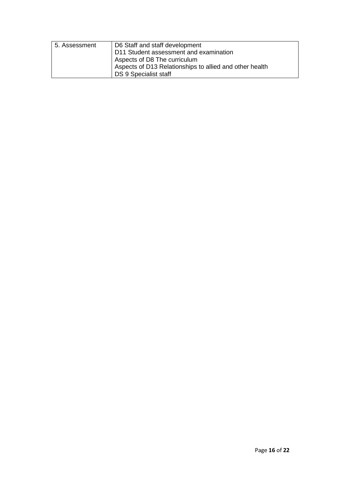| 5. Assessment | D6 Staff and staff development                          |
|---------------|---------------------------------------------------------|
|               | D11 Student assessment and examination                  |
|               | Aspects of D8 The curriculum                            |
|               | Aspects of D13 Relationships to allied and other health |
|               | DS 9 Specialist staff                                   |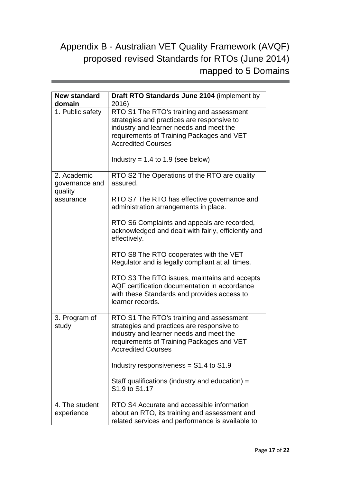## Appendix B - Australian VET Quality Framework (AVQF) proposed revised Standards for RTOs (June 2014) mapped to 5 Domains

| <b>New standard</b><br>domain | Draft RTO Standards June 2104 (implement by<br>2016)                                                                                                                                                                                                 |
|-------------------------------|------------------------------------------------------------------------------------------------------------------------------------------------------------------------------------------------------------------------------------------------------|
| 1. Public safety              | RTO S1 The RTO's training and assessment<br>strategies and practices are responsive to<br>industry and learner needs and meet the<br>requirements of Training Packages and VET<br><b>Accredited Courses</b><br>Industry = $1.4$ to $1.9$ (see below) |
| 2. Academic<br>governance and | RTO S2 The Operations of the RTO are quality<br>assured.                                                                                                                                                                                             |
| quality<br>assurance          | RTO S7 The RTO has effective governance and<br>administration arrangements in place.                                                                                                                                                                 |
|                               | RTO S6 Complaints and appeals are recorded,<br>acknowledged and dealt with fairly, efficiently and<br>effectively.                                                                                                                                   |
|                               | RTO S8 The RTO cooperates with the VET<br>Regulator and is legally compliant at all times.                                                                                                                                                           |
|                               | RTO S3 The RTO issues, maintains and accepts<br>AQF certification documentation in accordance<br>with these Standards and provides access to<br>learner records.                                                                                     |
| 3. Program of<br>study        | RTO S1 The RTO's training and assessment<br>strategies and practices are responsive to<br>industry and learner needs and meet the<br>requirements of Training Packages and VET<br><b>Accredited Courses</b>                                          |
|                               | Industry responsiveness = $S1.4$ to $S1.9$                                                                                                                                                                                                           |
|                               | Staff qualifications (industry and education) =<br>S1.9 to S1.17                                                                                                                                                                                     |
| 4. The student<br>experience  | RTO S4 Accurate and accessible information<br>about an RTO, its training and assessment and<br>related services and performance is available to                                                                                                      |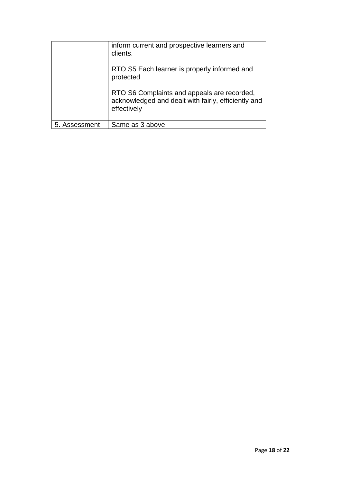| 5. Assessment | Same as 3 above                                                                                                   |
|---------------|-------------------------------------------------------------------------------------------------------------------|
|               | RTO S6 Complaints and appeals are recorded,<br>acknowledged and dealt with fairly, efficiently and<br>effectively |
|               | RTO S5 Each learner is properly informed and<br>protected                                                         |
|               | inform current and prospective learners and<br>clients.                                                           |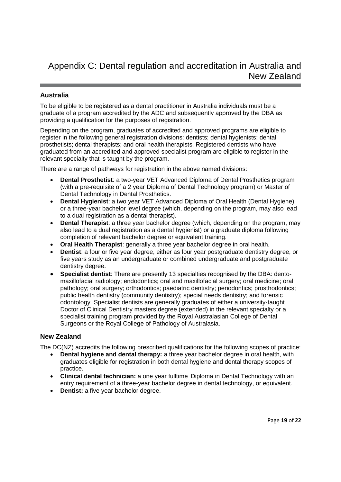## **Australia**

To be eligible to be registered as a dental practitioner in Australia individuals must be a graduate of a program accredited by the ADC and subsequently approved by the DBA as providing a qualification for the purposes of registration.

Depending on the program, graduates of accredited and approved programs are eligible to register in the following general registration divisions: dentists; dental hygienists; dental prosthetists; dental therapists; and oral health therapists. Registered dentists who have graduated from an accredited and approved specialist program are eligible to register in the relevant specialty that is taught by the program.

There are a range of pathways for registration in the above named divisions:

- **Dental Prosthetist**: a two-year VET Advanced Diploma of Dental Prosthetics program (with a pre-requisite of a 2 year Diploma of Dental Technology program) or Master of Dental Technology in Dental Prosthetics.
- **Dental Hygienist**: a two year VET Advanced Diploma of Oral Health (Dental Hygiene) or a three-year bachelor level degree (which, depending on the program, may also lead to a dual registration as a dental therapist).
- **Dental Therapist**: a three year bachelor degree (which, depending on the program, may also lead to a dual registration as a dental hygienist) or a graduate diploma following completion of relevant bachelor degree or equivalent training.
- **Oral Health Therapist**: generally a three year bachelor degree in oral health.
- **Dentist**: a four or five year degree, either as four year postgraduate dentistry degree, or five years study as an undergraduate or combined undergraduate and postgraduate dentistry degree.
- **Specialist dentist**: There are presently 13 specialties recognised by the DBA: dentomaxillofacial radiology; endodontics; oral and maxillofacial surgery; oral medicine; oral pathology; oral surgery; orthodontics; paediatric dentistry; periodontics; prosthodontics; public health dentistry (community dentistry); special needs dentistry; and forensic odontology. Specialist dentists are generally graduates of either a university-taught Doctor of Clinical Dentistry masters degree (extended) in the relevant specialty or a specialist training program provided by the Royal Australasian College of Dental Surgeons or the Royal College of Pathology of Australasia.

## **New Zealand**

The DC(NZ) accredits the following prescribed qualifications for the following scopes of practice:

- **Dental hygiene and dental therapy:** a three year bachelor degree in oral health, with graduates eligible for registration in both dental hygiene and dental therapy scopes of practice.
- **Clinical dental technician:** a one year fulltime Diploma in Dental Technology with an entry requirement of a three-year bachelor degree in dental technology, or equivalent.
- **Dentist:** a five year bachelor degree.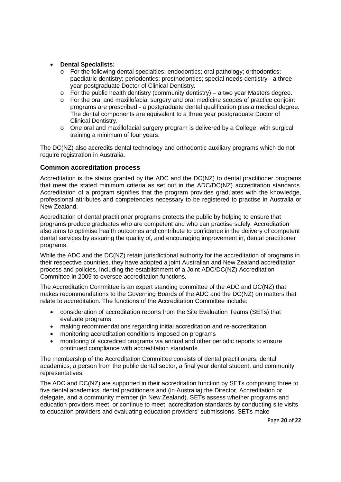#### • **Dental Specialists:**

- o For the following dental specialties: endodontics; oral pathology; orthodontics; paediatric dentistry; periodontics; prosthodontics; special needs dentistry - a three year postgraduate Doctor of Clinical Dentistry.
- $\circ$  For the public health dentistry (community dentistry) a two year Masters degree.
- o For the oral and maxillofacial surgery and oral medicine scopes of practice conjoint programs are prescribed - a postgraduate dental qualification plus a medical degree. The dental components are equivalent to a three year postgraduate Doctor of Clinical Dentistry.
- o One oral and maxillofacial surgery program is delivered by a College, with surgical training a minimum of four years.

The DC(NZ) also accredits dental technology and orthodontic auxiliary programs which do not require registration in Australia.

#### **Common accreditation process**

Accreditation is the status granted by the ADC and the DC(NZ) to dental practitioner programs that meet the stated minimum criteria as set out in the ADC/DC(NZ) accreditation standards. Accreditation of a program signifies that the program provides graduates with the knowledge, professional attributes and competencies necessary to be registered to practise in Australia or New Zealand.

Accreditation of dental practitioner programs protects the public by helping to ensure that programs produce graduates who are competent and who can practise safely. Accreditation also aims to optimise health outcomes and contribute to confidence in the delivery of competent dental services by assuring the quality of, and encouraging improvement in, dental practitioner programs.

While the ADC and the DC(NZ) retain jurisdictional authority for the accreditation of programs in their respective countries, they have adopted a joint Australian and New Zealand accreditation process and policies, including the establishment of a Joint ADC/DC(NZ) Accreditation Committee in 2005 to oversee accreditation functions.

The Accreditation Committee is an expert standing committee of the ADC and DC(NZ) that makes recommendations to the Governing Boards of the ADC and the DC(NZ) on matters that relate to accreditation. The functions of the Accreditation Committee include:

- consideration of accreditation reports from the Site Evaluation Teams (SETs) that evaluate programs
- making recommendations regarding initial accreditation and re-accreditation
- monitoring accreditation conditions imposed on programs
- monitoring of accredited programs via annual and other periodic reports to ensure continued compliance with accreditation standards.

The membership of the Accreditation Committee consists of dental practitioners, dental academics, a person from the public dental sector, a final year dental student, and community representatives.

The ADC and DC(NZ) are supported in their accreditation function by SETs comprising three to five dental academics, dental practitioners and (in Australia) the Director, Accreditation or delegate, and a community member (in New Zealand). SETs assess whether programs and education providers meet, or continue to meet, accreditation standards by conducting site visits to education providers and evaluating education providers' submissions. SETs make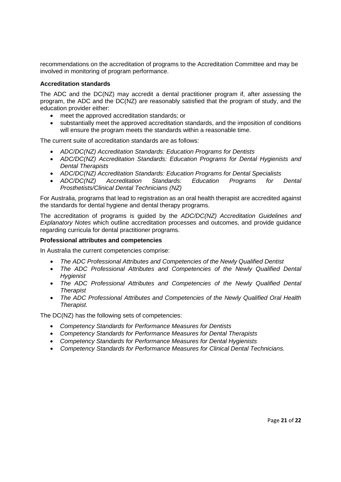recommendations on the accreditation of programs to the Accreditation Committee and may be involved in monitoring of program performance.

#### **Accreditation standards**

The ADC and the DC(NZ) may accredit a dental practitioner program if, after assessing the program, the ADC and the DC(NZ) are reasonably satisfied that the program of study, and the education provider either:

- meet the approved accreditation standards; or
- substantially meet the approved accreditation standards, and the imposition of conditions will ensure the program meets the standards within a reasonable time.

The current suite of accreditation standards are as follows:

- ADC/DC(NZ) Accreditation Standards: Education Programs for Dentists
- ADC/DC(NZ) Accreditation Standards: Education Programs for Dental Hygienists and Dental Therapists
- ADC/DC(NZ) Accreditation Standards: Education Programs for Dental Specialists
- ADC/DC(NZ) Accreditation Standards: Education Programs for Dental Prosthetists/Clinical Dental Technicians (NZ)

For Australia, programs that lead to registration as an oral health therapist are accredited against the standards for dental hygiene and dental therapy programs.

The accreditation of programs is guided by the ADC/DC(NZ) Accreditation Guidelines and Explanatory Notes which outline accreditation processes and outcomes, and provide guidance regarding curricula for dental practitioner programs.

#### **Professional attributes and competencies**

In Australia the current competencies comprise:

- The ADC Professional Attributes and Competencies of the Newly Qualified Dentist
- The ADC Professional Attributes and Competencies of the Newly Qualified Dental **Hygienist**
- The ADC Professional Attributes and Competencies of the Newly Qualified Dental **Therapist**
- The ADC Professional Attributes and Competencies of the Newly Qualified Oral Health Therapist.

The DC(NZ) has the following sets of competencies:

- Competency Standards for Performance Measures for Dentists
- Competency Standards for Performance Measures for Dental Therapists
- Competency Standards for Performance Measures for Dental Hygienists
- Competency Standards for Performance Measures for Clinical Dental Technicians.